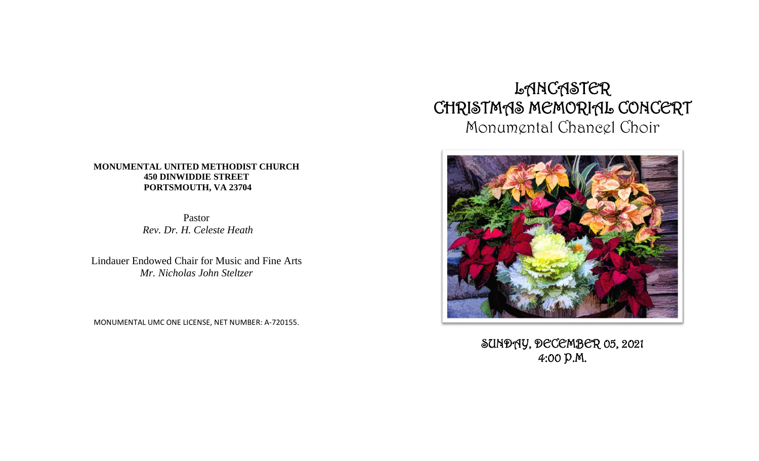#### **MONUMENTAL UNITED METHODIST CHURCH 450 DINWIDDIE STREET PORTSMOUTH, VA 23704**

Pastor *Rev. Dr. H. Celeste Heath*

Lindauer Endowed Chair for Music and Fine Arts *Mr. Nicholas John Steltzer*

MONUMENTAL UMC ONE LICENSE, NET NUMBER: A-720155.

# LANCASTER CHRISTMAS MEMORIAL CONCERT Monumental Chancel Choir



SUNDAY, DECEMBER 05, 2021 4:00 P.M.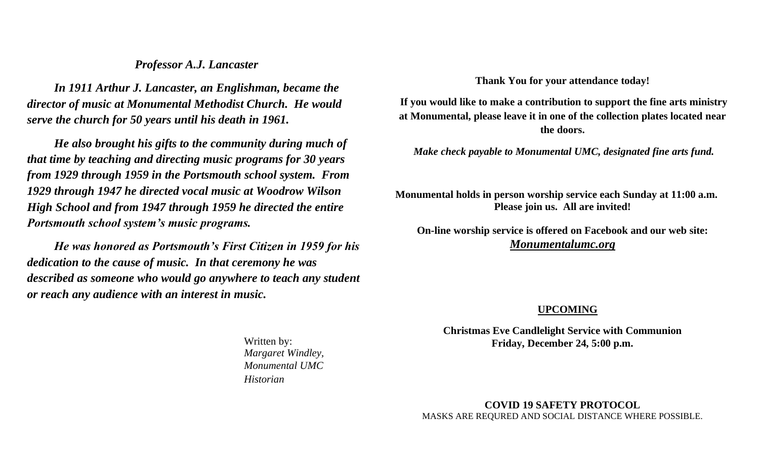### *Professor A.J. Lancaster*

*In 1911 Arthur J. Lancaster, an Englishman, became the director of music at Monumental Methodist Church. He would serve the church for 50 years until his death in 1961.*

*He also brought his gifts to the community during much of that time by teaching and directing music programs for 30 years from 1929 through 1959 in the Portsmouth school system. From 1929 through 1947 he directed vocal music at Woodrow Wilson High School and from 1947 through 1959 he directed the entire Portsmouth school system's music programs.*

*He was honored as Portsmouth's First Citizen in 1959 for his dedication to the cause of music. In that ceremony he was described as someone who would go anywhere to teach any student or reach any audience with an interest in music.*

**Thank You for your attendance today!**

**If you would like to make a contribution to support the fine arts ministry at Monumental, please leave it in one of the collection plates located near the doors.** 

*Make check payable to Monumental UMC, designated fine arts fund.*

**Monumental holds in person worship service each Sunday at 11:00 a.m. Please join us. All are invited!**

**On-line worship service is offered on Facebook and our web site:** *Monumentalumc.org*

#### **UPCOMING**

**Christmas Eve Candlelight Service with Communion Friday, December 24, 5:00 p.m.**

**COVID 19 SAFETY PROTOCOL** MASKS ARE REQURED AND SOCIAL DISTANCE WHERE POSSIBLE.

Written by: *Margaret Windley, Monumental UMC Historian*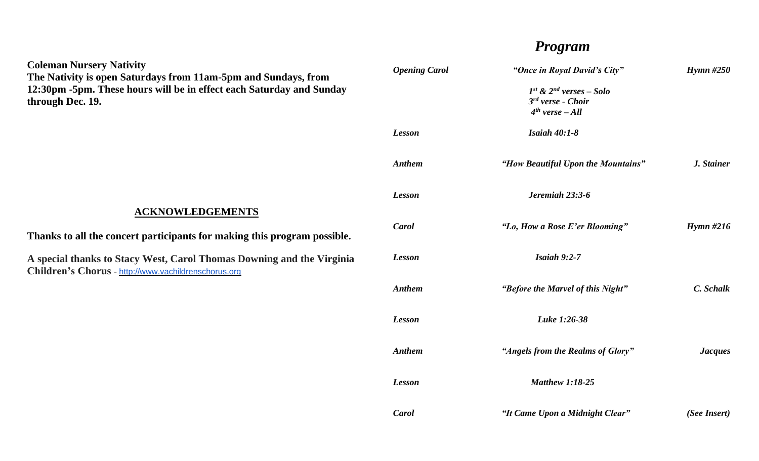# *Program*

| <b>Opening Carol</b> | "Once in Royal David's City"                                                   | $Hymn \#250$   |
|----------------------|--------------------------------------------------------------------------------|----------------|
|                      | $I^{st}$ & $2^{nd}$ verses - Solo<br>$3rd$ verse - Choir<br>$4th$ verse $-All$ |                |
| <b>Lesson</b>        | <b>Isaiah 40:1-8</b>                                                           |                |
| <b>Anthem</b>        | "How Beautiful Upon the Mountains"                                             | J. Stainer     |
| <b>Lesson</b>        | Jeremiah 23:3-6                                                                |                |
| Carol                | "Lo, How a Rose E'er Blooming"                                                 | Hymn $#216$    |
| <b>Lesson</b>        | Isaiah $9:2-7$                                                                 |                |
| <b>Anthem</b>        | "Before the Marvel of this Night"                                              | C. Schalk      |
| <b>Lesson</b>        | Luke 1:26-38                                                                   |                |
| <b>Anthem</b>        | "Angels from the Realms of Glory"                                              | <b>Jacques</b> |
| <b>Lesson</b>        | <b>Matthew 1:18-25</b>                                                         |                |
| Carol                | "It Came Upon a Midnight Clear"                                                | (See Insert)   |

## **Coleman Nursery Nativity The Nativity is open Saturdays from 11am-5pm and Sundays, from 12:30pm -5pm. These hours will be in effect each Saturday and Sunday through Dec. 19.**

# **ACKNOWLEDGEMENTS**

**Thanks to all the concert participants for making this program possible.**

**A special thanks to Stacy West, Carol Thomas Downing and the Virginia Children's Chorus** - [http://www.vachildrenschorus.org](http://www.vachildrenschorus.org/)